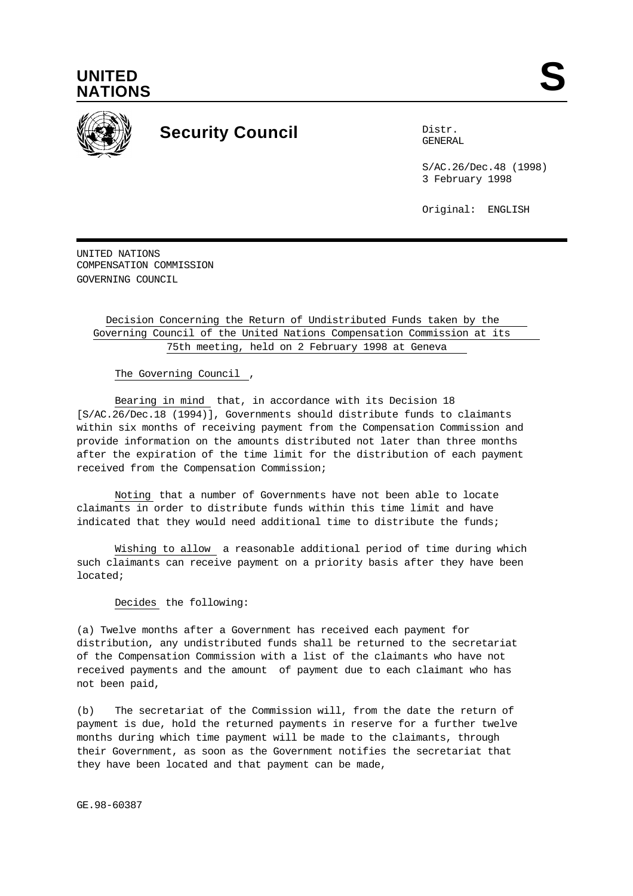



## **Security Council** Distribution

GENERAL

S/AC.26/Dec.48 (1998) 3 February 1998

Original: ENGLISH

UNITED NATIONS COMPENSATION COMMISSION GOVERNING COUNCIL

## Decision Concerning the Return of Undistributed Funds taken by the Governing Council of the United Nations Compensation Commission at its 75th meeting, held on 2 February 1998 at Geneva

The Governing Council ,

Bearing in mind that, in accordance with its Decision 18 [S/AC.26/Dec.18 (1994)], Governments should distribute funds to claimants within six months of receiving payment from the Compensation Commission and provide information on the amounts distributed not later than three months after the expiration of the time limit for the distribution of each payment received from the Compensation Commission;

Noting that a number of Governments have not been able to locate claimants in order to distribute funds within this time limit and have indicated that they would need additional time to distribute the funds;

Wishing to allow a reasonable additional period of time during which such claimants can receive payment on a priority basis after they have been located;

Decides the following:

(a) Twelve months after a Government has received each payment for distribution, any undistributed funds shall be returned to the secretariat of the Compensation Commission with a list of the claimants who have not received payments and the amount of payment due to each claimant who has not been paid,

(b) The secretariat of the Commission will, from the date the return of payment is due, hold the returned payments in reserve for a further twelve months during which time payment will be made to the claimants, through their Government, as soon as the Government notifies the secretariat that they have been located and that payment can be made,

GE.98-60387